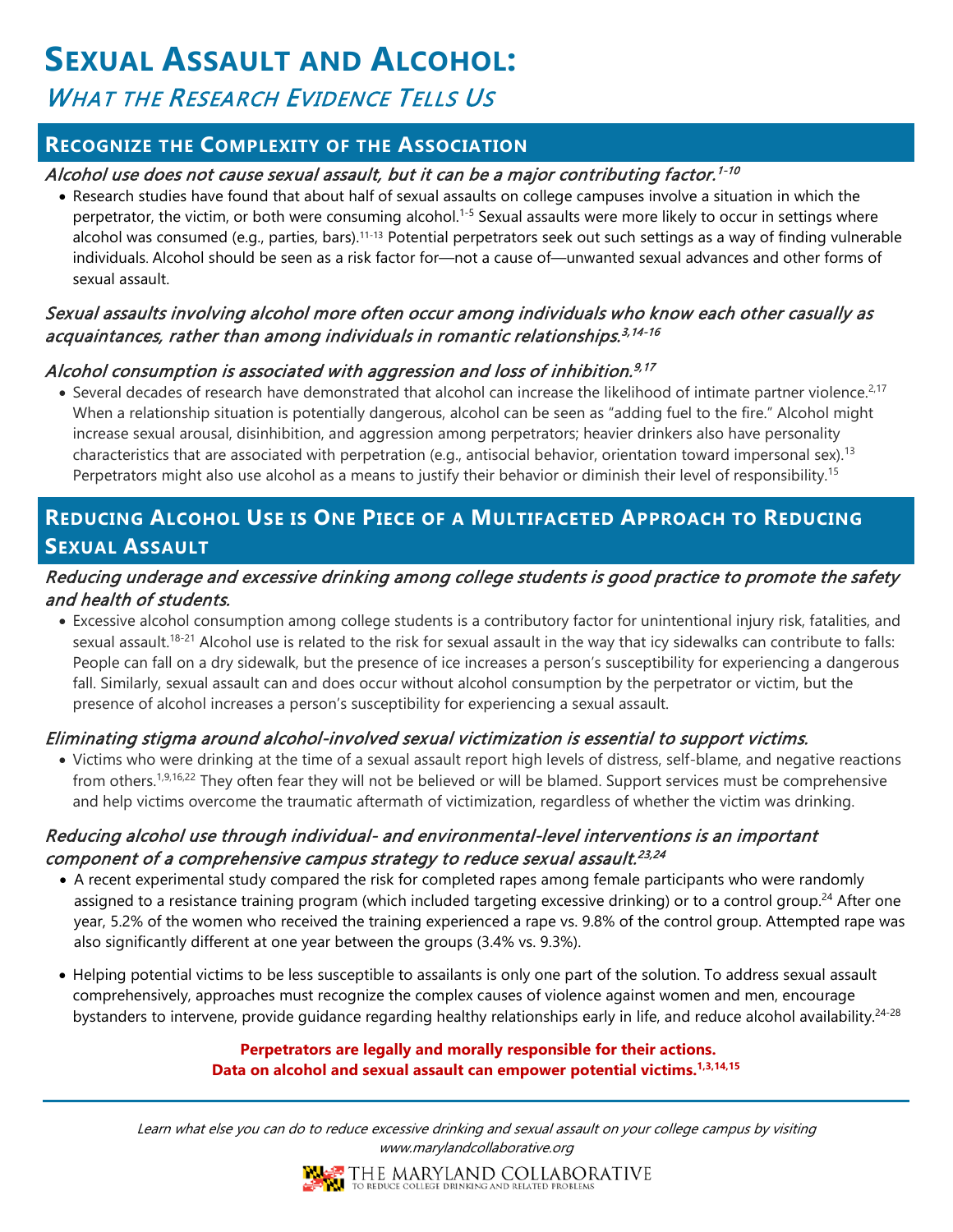# **SEXUAL ASSAULT AND ALCOHOL:** WHAT THE RESEARCH EVIDENCE TELLS US

### **RECOGNIZE THE COMPLEXITY OF THE ASSOCIATION**

#### Alcohol use does not cause sexual assault, but it can be a major contributing factor.1-10

• Research studies have found that about half of sexual assaults on college campuses involve a situation in which the perpetrator, the victim, or both were consuming alcohol.<sup>1-5</sup> Sexual assaults were more likely to occur in settings where alcohol was consumed (e.g., parties, bars).<sup>11-13</sup> Potential perpetrators seek out such settings as a way of finding vulnerable individuals. Alcohol should be seen as a risk factor for—not a cause of—unwanted sexual advances and other forms of sexual assault.

#### Sexual assaults involving alcohol more often occur among individuals who know each other casually as acquaintances, rather than among individuals in romantic relationships. 3,14-16

#### Alcohol consumption is associated with aggression and loss of inhibition.<sup>9,17</sup>

• Several decades of research have demonstrated that alcohol can increase the likelihood of intimate partner violence.<sup>2,17</sup> When a relationship situation is potentially dangerous, alcohol can be seen as "adding fuel to the fire." Alcohol might increase sexual arousal, disinhibition, and aggression among perpetrators; heavier drinkers also have personality characteristics that are associated with perpetration (e.g., antisocial behavior, orientation toward impersonal sex).<sup>13</sup> Perpetrators might also use alcohol as a means to justify their behavior or diminish their level of responsibility.<sup>15</sup>

## **REDUCING ALCOHOL USE IS ONE PIECE OF A MULTIFACETED APPROACH TO REDUCING SEXUAL ASSAULT**

#### Reducing underage and excessive drinking among college students is good practice to promote the safety and health of students.

• Excessive alcohol consumption among college students is a contributory factor for unintentional injury risk, fatalities, and sexual assault.<sup>18-21</sup> Alcohol use is related to the risk for sexual assault in the way that icy sidewalks can contribute to falls: People can fall on a dry sidewalk, but the presence of ice increases a person's susceptibility for experiencing a dangerous fall. Similarly, sexual assault can and does occur without alcohol consumption by the perpetrator or victim, but the presence of alcohol increases a person's susceptibility for experiencing a sexual assault.

### Eliminating stigma around alcohol-involved sexual victimization is essential to support victims.

• Victims who were drinking at the time of a sexual assault report high levels of distress, self-blame, and negative reactions from others.<sup>1,9,16,22</sup> They often fear they will not be believed or will be blamed. Support services must be comprehensive and help victims overcome the traumatic aftermath of victimization, regardless of whether the victim was drinking.

#### Reducing alcohol use through individual- and environmental-level interventions is an important component of a comprehensive campus strategy to reduce sexual assault.<sup>23,24</sup>

- A recent experimental study compared the risk for completed rapes among female participants who were randomly assigned to a resistance training program (which included targeting excessive drinking) or to a control group.<sup>24</sup> After one year, 5.2% of the women who received the training experienced a rape vs. 9.8% of the control group. Attempted rape was also significantly different at one year between the groups (3.4% vs. 9.3%).
- Helping potential victims to be less susceptible to assailants is only one part of the solution. To address sexual assault comprehensively, approaches must recognize the complex causes of violence against women and men, encourage bystanders to intervene, provide guidance regarding healthy relationships early in life, and reduce alcohol availability.<sup>24-28</sup>

#### **Perpetrators are legally and morally responsible for their actions. Data on alcohol and sexual assault can empower potential victims. 1,3,14,15**

Learn what else you can do to reduce excessive drinking and sexual assault on your college campus by visiting www.marylandcollaborative.org



THE MARYLAND COLLABORATIVE